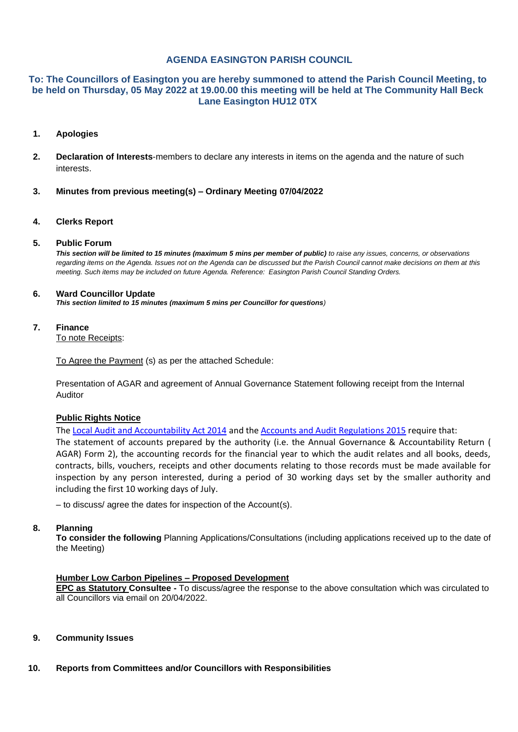# **AGENDA EASINGTON PARISH COUNCIL**

# **To: The Councillors of Easington you are hereby summoned to attend the Parish Council Meeting, to be held on Thursday, 05 May 2022 at 19.00.00 this meeting will be held at The Community Hall Beck Lane Easington HU12 0TX**

### **1. Apologies**

- **2. Declaration of Interests**-members to declare any interests in items on the agenda and the nature of such **interests**
- **3. Minutes from previous meeting(s) – Ordinary Meeting 07/04/2022**

#### **4. Clerks Report**

#### **5. Public Forum**

*This section will be limited to 15 minutes (maximum 5 mins per member of public) to raise any issues, concerns, or observations regarding items on the Agenda. Issues not on the Agenda can be discussed but the Parish Council cannot make decisions on them at this meeting. Such items may be included on future Agenda. Reference: Easington Parish Council Standing Orders.*

#### **6. Ward Councillor Update**

*This section limited to 15 minutes (maximum 5 mins per Councillor for questions)*

#### **7. Finance**

To note Receipts:

To Agree the Payment (s) as per the attached Schedule:

Presentation of AGAR and agreement of Annual Governance Statement following receipt from the Internal Auditor

# **Public Rights Notice**

Th[e Local Audit and Accountability Act 2014](http://www.legislation.gov.uk/ukpga/2014/2/contents) and the [Accounts and Audit Regulations 2015](http://www.legislation.gov.uk/uksi/2015/234/contents/made) require that: The statement of accounts prepared by the authority (i.e. the Annual Governance & Accountability Return ( AGAR) Form 2), the accounting records for the financial year to which the audit relates and all books, deeds, contracts, bills, vouchers, receipts and other documents relating to those records must be made available for inspection by any person interested, during a period of 30 working days set by the smaller authority and including the first 10 working days of July.

– to discuss/ agree the dates for inspection of the Account(s).

#### **8. Planning**

**To consider the following** Planning Applications/Consultations (including applications received up to the date of the Meeting)

# **Humber Low Carbon Pipelines – Proposed Development**

**EPC as Statutory Consultee -** To discuss/agree the response to the above consultation which was circulated to all Councillors via email on 20/04/2022.

#### **9. Community Issues**

#### **10. Reports from Committees and/or Councillors with Responsibilities**